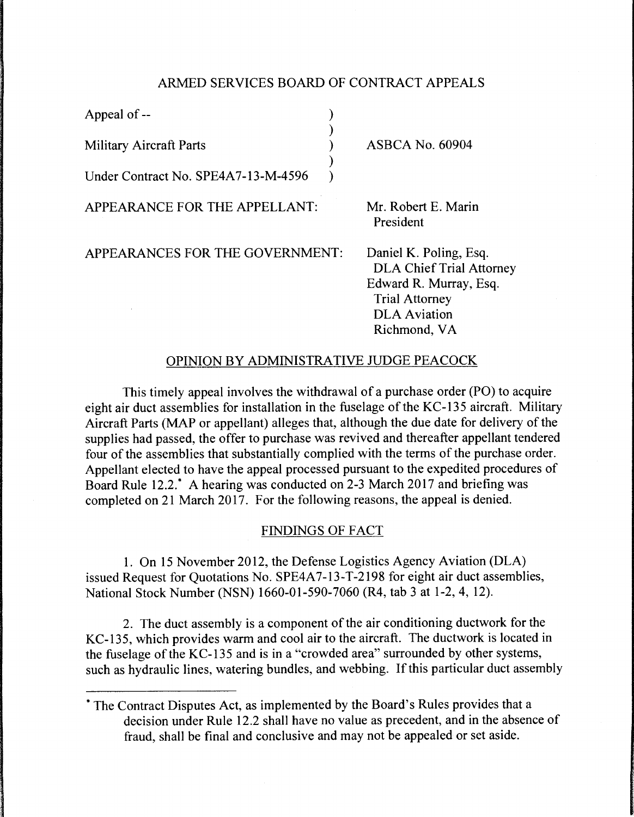## ARMED SERVICES BOARD OF CONTRACT APPEALS

| Appeal of --                        |                                                                                                                                                     |
|-------------------------------------|-----------------------------------------------------------------------------------------------------------------------------------------------------|
| <b>Military Aircraft Parts</b>      | <b>ASBCA No. 60904</b>                                                                                                                              |
| Under Contract No. SPE4A7-13-M-4596 |                                                                                                                                                     |
| APPEARANCE FOR THE APPELLANT:       | Mr. Robert E. Marin<br>President                                                                                                                    |
| APPEARANCES FOR THE GOVERNMENT:     | Daniel K. Poling, Esq.<br><b>DLA Chief Trial Attorney</b><br>Edward R. Murray, Esq.<br><b>Trial Attorney</b><br><b>DLA</b> Aviation<br>Richmond, VA |

## OPINION BY ADMINISTRATIVE JUDGE PEACOCK

This timely appeal involves the withdrawal of a purchase order (PO) to acquire eight air duct assemblies for installation in the fuselage of the KC-135 aircraft. Military Aircraft Parts (MAP or appellant) alleges that, although the due date for delivery of the supplies had passed, the offer to purchase was revived and thereafter appellant tendered four of the assemblies that substantially complied with the terms of the purchase order. Appellant elected to have the appeal processed pursuant to the expedited procedures of Board Rule 12.2.\* A hearing was conducted on 2-3 March 2017 and briefing was completed on 21 March 2017. For the following reasons, the appeal is denied.

## FINDINGS OF FACT

1. On 15 November 2012, the Defense Logistics Agency Aviation (DLA) issued Request for Quotations No. SPE4A7-13-T-2198 for eight air duct assemblies, National Stock Number (NSN) 1660-01-590-7060 (R4, tab 3 at 1-2, 4, 12).

2. The duct assembly is a component of the air conditioning ductwork for the KC-135, which provides warm and cool air to the aircraft. The ductwork is located in the fuselage of the KC-135 and is in a "crowded area" surrounded by other systems, such as hydraulic lines, watering bundles, and webbing. If this particular duct assembly

<sup>\*</sup>The Contract Disputes Act, as implemented by the Board's Rules provides that a decision under Rule 12.2 shall have no value as precedent, and in the absence of fraud, shall be final and conclusive and may not be appealed or set aside.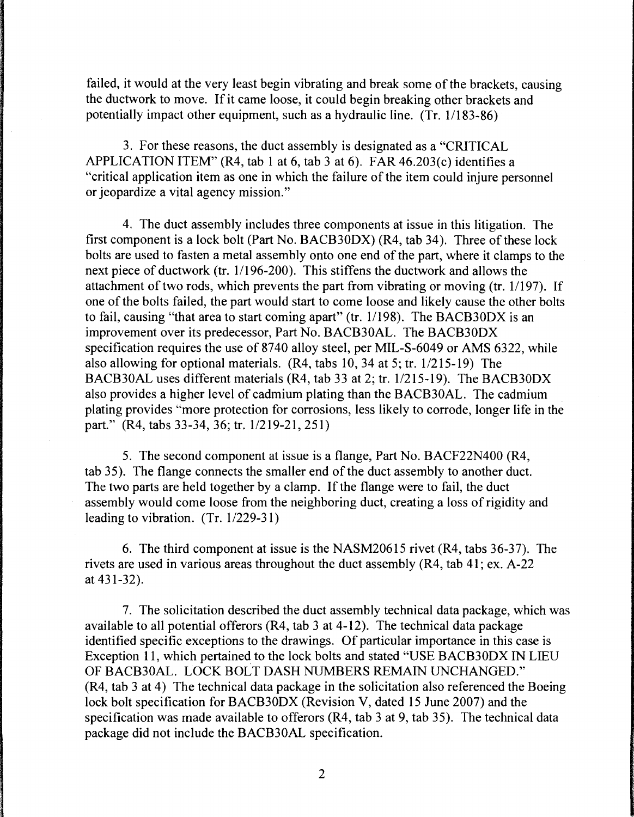failed, it would at the very least begin vibrating and break some of the brackets, causing the ductwork to move. If it came loose, it could begin breaking other brackets and potentially impact other equipment, such as a hydraulic line. (Tr. 1/183-86)

3. For these reasons, the duct assembly is designated as a "CRITICAL APPLICATION ITEM" (R4, tab 1 at 6, tab 3 at 6). FAR  $46.203(c)$  identifies a "critical application item as one in which the failure of the item could injure personnel or jeopardize a vital agency mission."

4. The duct assembly includes three components at issue in this litigation. The first component is a lock bolt (Part No. BACB30DX) (R4, tab 34). Three of these lock bolts are used to fasten a metal assembly onto one end of the part, where it clamps to the next piece of ductwork (tr. 1/196-200). This stiffens the ductwork and allows the attachment of two rods, which prevents the part from vibrating or moving (tr. 1/197). If one of the bolts failed, the part would start to come loose and likely cause the other bolts to fail, causing "that area to start coming apart" (tr. 1/198). The BACB30DX is an improvement over its predecessor, Part No. BACB30AL. The BACB30DX specification requires the use of 8740 alloy steel, per MIL-S-6049 or AMS 6322, while also allowing for optional materials.  $(R4, tabs 10, 34 at 5; tr. 1/215-19)$  The BACB30AL uses different materials (R4, tab 33 at 2; tr. 1/215-19). The BACB30DX also provides a higher level of cadmium plating than the BACB30AL. The cadmium plating provides "more protection for corrosions, less likely to corrode, longer life in the part." (R4, tabs 33-34, 36; tr. 1/219-21, 251)

5. The second component at issue is a flange, Part No. BACF22N400 (R4, tab 35). The flange connects the smaller end of the duct assembly to another duct. The two parts are held together by a clamp. If the flange were to fail, the duct assembly would come loose from the neighboring duct, creating a loss of rigidity and leading to vibration.  $(Tr. 1/229-31)$ 

6. The third component at issue is the NASM20615 rivet (R4, tabs 36-37). The rivets are used in various areas throughout the duct assembly (R4, tab 41; ex. A-22 at 431-32).

7. The solicitation described the duct assembly technical data package, which was available to all potential offerors (R4, tab 3 at 4-12). The technical data package identified specific exceptions to the drawings. Of particular importance in this case is Exception 11, which pertained to the lock bolts and stated "USE BACB30DX IN LIEU OF BACB30AL. LOCK BOLT DASH NUMBERS REMAIN UNCHANGED." (R4, tab 3 at 4) The technical data package in the solicitation also referenced the Boeing lock bolt specification for BACB30DX (Revision V, dated 15 June 2007) and the specification was made available to offerors (R4, tab 3 at 9, tab 35). The technical data package did not include the BACB30AL specification.

2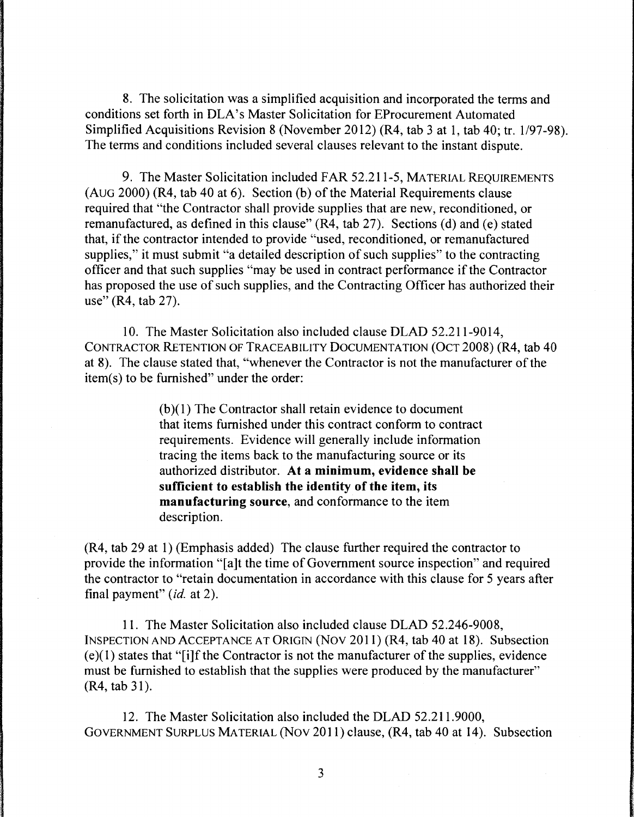8. The solicitation was a simplified acquisition and incorporated the terms and conditions set forth in DLA's Master Solicitation for EProcurement Automated Simplified Acquisitions Revision 8 (November 2012) (R4, tab 3 at 1, tab 40; tr. 1/97-98). The terms and conditions included several clauses relevant to the instant dispute.

9. The Master Solicitation included FAR 52.211-5, MATERIAL REQUIREMENTS (AUG 2000) (R4, tab 40 at 6). Section (b) of the Material Requirements clause required that "the Contractor shall provide supplies that are new, reconditioned, or remanufactured, as defined in this clause" (R4, tab 27). Sections (d) and (e) stated that, if the contractor intended to provide "used, reconditioned, or remanufactured supplies," it must submit "a detailed description of such supplies" to the contracting officer and that such supplies "may be used in contract performance if the Contractor has proposed the use of such supplies, and the Contracting Officer has authorized their use" (R4, tab 27).

10. The Master Solicitation also included clause DLAD 52.211-9014, CONTRACTOR RETENTION OF TRACEABILITY DOCUMENTATION (OCT 2008) (R4, tab 40 at 8). The clause stated that, "whenever the Contractor is not the manufacturer of the item(s) to be furnished" under the order:

> $(b)(1)$  The Contractor shall retain evidence to document that items furnished under this contract conform to contract requirements. Evidence will generally include information tracing the items back to the manufacturing source or its authorized distributor. **At a minimum, evidence shall be sufficient to establish the identity of the item, its manufacturing source,** and conformance to the item description.

(R4, tab 29 at 1) (Emphasis added) The clause further required the contractor to provide the information "[a ]t the time of Government source inspection" and required the contractor to "retain documentation in accordance with this clause for 5 years after final payment" *(id.* at 2).

11. The Master Solicitation also included clause DLAD 52.246-9008, INSPECTION AND ACCEPTANCE AT ORIGIN (Nov 2011) (R4, tab 40 at 18). Subsection  $(e)(1)$  states that "[i]f the Contractor is not the manufacturer of the supplies, evidence must be furnished to establish that the supplies were produced by the manufacturer"  $(R4, tab 31)$ .

12. The Master Solicitation also included the DLAD 52.211.9000, GOVERNMENT SURPLUS MATERIAL (Nov 2011) clause, (R4, tab 40 at 14). Subsection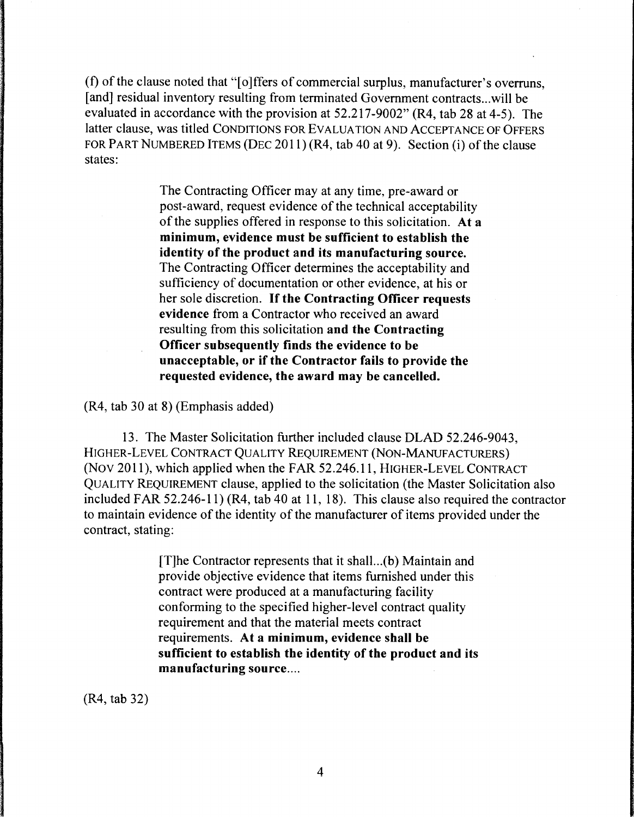(f) of the clause noted that "[o]ffers of commercial surplus, manufacturer's overruns, [and] residual inventory resulting from terminated Government contracts ... will be evaluated in accordance with the provision at 52.217-9002" (R4, tab 28 at 4-5). The latter clause, was titled CONDITIONS FOR EVALUATION AND ACCEPTANCE OF OFFERS FOR PART NUMBERED ITEMS (DEC 2011) (R4, tab 40 at 9). Section (i) of the clause states:

> The Contracting Officer may at any time, pre-award or post-award, request evidence of the technical acceptability of the supplies offered in response to this solicitation. **At a minimum, evidence must be sufficient to establish the identity of the product and its manufacturing source.**  The Contracting Officer determines the acceptability and sufficiency of documentation or other evidence, at his or her sole discretion. If **the Contracting Officer requests evidence** from a Contractor who received an award resulting from this solicitation **and the Contracting Officer subsequently finds the evidence to be unacceptable, or if the Contractor fails to provide the requested evidence, the award may be cancelled.**

(R4, tab 30 at 8) (Emphasis added)

13. The Master Solicitation further included clause DLAD 52.246-9043, HIGHER-LEVEL CONTRACT QUALITY REQUIREMENT (NON-MANUFACTURERS) (Nov 2011), which applied when the FAR 52.246.11, HIGHER-LEVEL CONTRACT QUALITY REQUIREMENT clause, applied to the solicitation (the Master Solicitation also included FAR 52.246-11) (R4, tab 40 at 11, 18). This clause also required the contractor to maintain evidence of the identity of the manufacturer of items provided under the contract, stating:

> [T]he Contractor represents that it shall ... (b) Maintain and provide objective evidence that items furnished under this contract were produced at a manufacturing facility conforming to the specified higher-level contract quality requirement and that the material meets contract requirements. **At a minimum, evidence shall be sufficient to establish the identity of the product and its manufacturing source ....**

(R4, tab 32)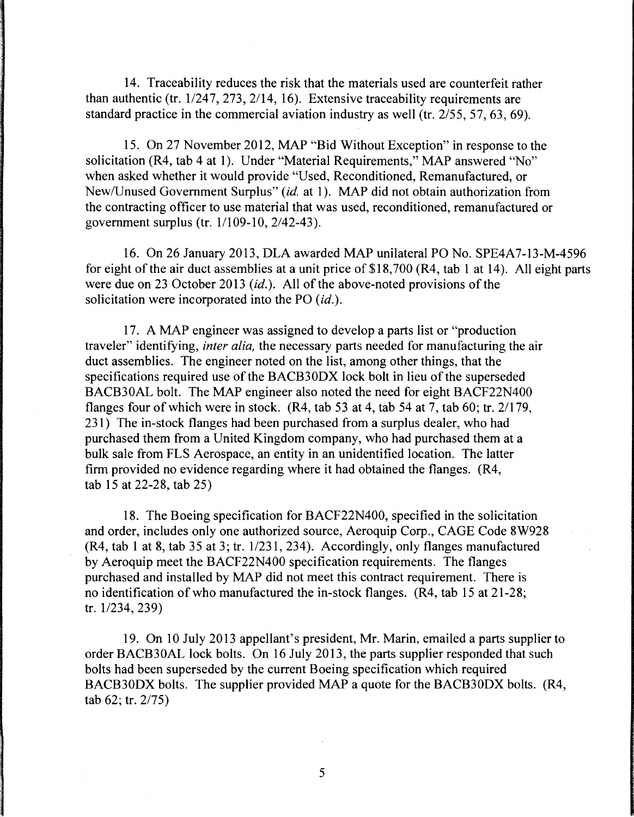14. Traceability reduces the risk that the materials used are counterfeit rather than authentic (tr.  $1/247$ ,  $273$ ,  $2/14$ , 16). Extensive traceability requirements are standard practice in the commercial aviation industry as well (tr. 2/55, 57, 63, 69).

15. On 27 November 2012, MAP "Bid Without Exception" in response to the solicitation (R4, tab 4 at 1). Under "Material Requirements," MAP answered "No" when asked whether it would provide "Used, Reconditioned, Remanufactured, or New/Unused Government Surplus" *(id.* at 1 ). MAP did not obtain authorization from the contracting officer to use material that was used, reconditioned, remanufactured or government surplus (tr. 1/109-10, 2/42-43).

16. On 26 January 2013, DLA awarded MAP unilateral PO No. SPE4A7-13-M-4596 for eight of the air duct assemblies at a unit price of \$18, 700 (R4, tab 1 at 14 ). All eight parts were due on 23 October 2013 *(id.).* All of the above-noted provisions of the solicitation were incorporated into the PO *(id.).* 

17. A MAP engineer was assigned to develop a parts list or "production traveler" identifying, *inter alia,* the necessary parts needed for manufacturing the air duct assemblies. The engineer noted on the list, among other things, that the specifications required use of the BACB30DX lock bolt in lieu of the superseded BACB30AL bolt. The MAP engineer also noted the need for eight BACF22N400 flanges four of which were in stock. (R4, tab 53 at 4, tab 54 at 7, tab 60; tr. 2/179, 231) The in-stock flanges had been purchased from a surplus dealer, who had purchased them from a United Kingdom company, who had purchased them at a bulk sale from FLS Aerospace, an entity in an unidentified location. The latter firm provided no evidence regarding where it had obtained the flanges. (R4, tab 15 at 22-28, tab 25)

18. The Boeing specification for BACF22N400, specified in the solicitation and order, includes only one authorized source, Aeroquip Corp., CAGE Code 8W928  $(R4, tab 1 at 8, tab 35 at 3; tr.  $\frac{1}{231}$ , 234). Accordingly, only flanges manufactured$ by Aeroquip meet the BACF22N400 specification requirements. The flanges purchased and installed by MAP did not meet this contract requirement. There is no identification of who manufactured the in-stock flanges. (R4, tab 15 at 21-28; tr. 1/234, 239)

19. On 10 July 2013 appellant's president, Mr. Marin, emailed a parts supplier to order BACB30AL lock bolts. On 16 July 2013, the parts supplier responded that such bolts had been superseded by the current Boeing specification which required BACB30DX bolts. The supplier provided MAP a quote for the BACB30DX bolts. (R4, tab 62; tr. 2/75)

5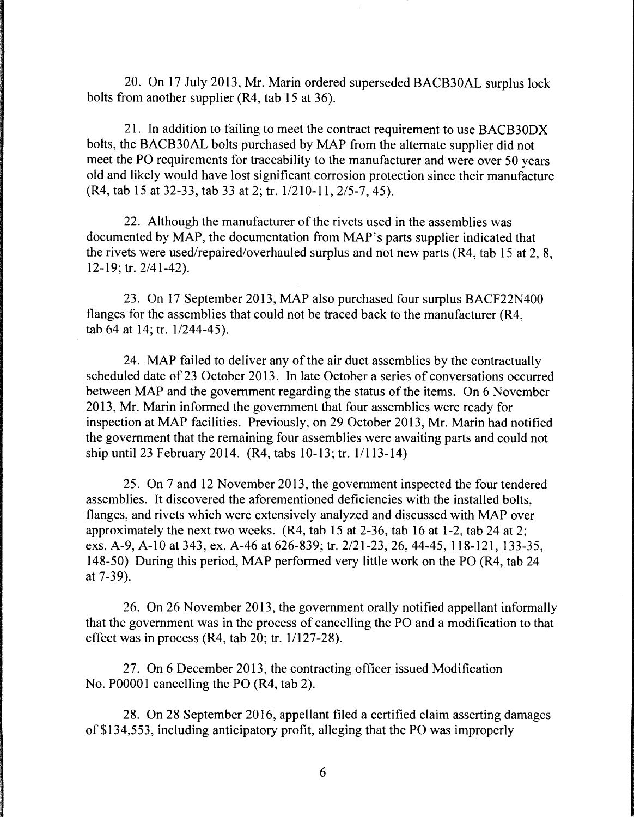20. On 17 July 2013, Mr. Marin ordered superseded BACB30AL surplus lock bolts from another supplier (R4, tab 15 at 36).

21. In addition to failing to meet the contract requirement to use BACB30DX bolts, the BACB30AL bolts purchased by MAP from the alternate supplier did not meet the PO requirements for traceability to the manufacturer and were over 50 years old and likely would have lost significant corrosion protection since their manufacture (R4, tab 15 at 32-33, tab 33 at 2; tr. 1/210-11, 2/5-7, 45).

22. Although the manufacturer of the rivets used in the assemblies was documented by MAP, the documentation from MAP's parts supplier indicated that the rivets were used/repaired/overhauled surplus and not new parts (R4, tab 15 at 2, 8, 12-19; tr. 2/41-42).

23. On 17 September 2013, MAP also purchased four surplus BACF22N400 flanges for the assemblies that could not be traced back to the manufacturer (R4, tab  $64$  at  $14$ ; tr.  $1/244-45$ ).

24. MAP failed to deliver any of the air duct assemblies by the contractually scheduled date of 23 October 2013. In late October a series of conversations occurred between MAP and the government regarding the status of the items. On 6 November 2013, Mr. Marin informed the government that four assemblies were ready for inspection at MAP facilities. Previously, on 29 October 2013, Mr. Marin had notified the government that the remaining four assemblies were awaiting parts and could not ship until 23 February 2014. (R4, tabs 10-13; tr. 1/113-14)

25. On 7 and 12 November 2013, the government inspected the four tendered assemblies. It discovered the aforementioned deficiencies with the installed bolts, flanges, and rivets which were extensively analyzed and discussed with MAP over approximately the next two weeks. (R4, tab 15 at 2-36, tab 16 at 1-2, tab 24 at 2; exs. A-9, A-10 at 343, ex. A-46 at 626-839; tr. 2/21-23, 26, 44-45, 118-121, 133-35, 148-50) During this period, MAP performed very little work on the PO (R4, tab 24 at 7-39).

26. On 26 November 2013, the government orally notified appellant informally that the government was in the process of cancelling the PO and a modification to that effect was in process  $(R4, tab 20; tr. 1/127-28)$ .

27. On 6 December 2013, the contracting officer issued Modification No. P00001 cancelling the PO (R4, tab 2).

28. On 28 September 2016, appellant filed a certified claim asserting damages of \$134,553, including anticipatory profit, alleging that the PO was improperly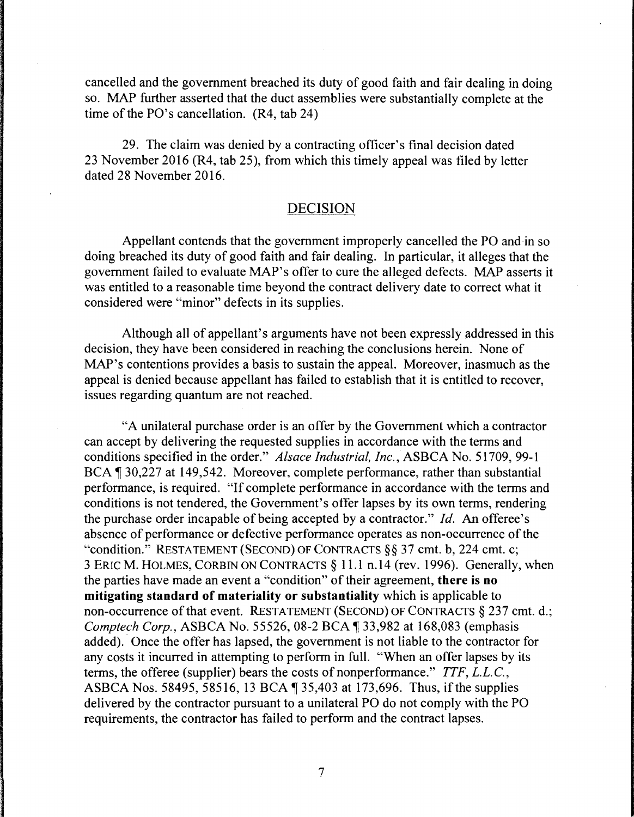cancelled and the government breached its duty of good faith and fair dealing in doing so. MAP further asserted that the duct assemblies were substantially complete at the time of the PO's cancellation. (R4, tab 24)

29. The claim was denied by a contracting officer's final decision dated 23 November 2016 (R4, tab 25), from which this timely appeal was filed by letter dated 28 November 2016.

## DECISION

Appellant contends that the government improperly cancelled the PO and ·in so doing breached its duty of good faith and fair dealing. In particular, it alleges that the government failed to evaluate MAP's offer to cure the alleged defects. MAP asserts it was entitled to a reasonable time beyond the contract delivery date to correct what it considered were "minor" defects in its supplies.

Although all of appellant's arguments have not been expressly addressed in this decision, they have been considered in reaching the conclusions herein. None of MAP's contentions provides a basis to sustain the appeal. Moreover, inasmuch as the appeal is denied because appellant has failed to establish that it is entitled to recover, issues regarding quantum are not reached.

"A unilateral purchase order is an offer by the Government which a contractor can accept by delivering the requested supplies in accordance with the terms and conditions specified in the order." *Alsace Industrial, Inc.,* ASBCA No. 51709, 99-1 BCA 1 30,227 at 149,542. Moreover, complete performance, rather than substantial performance, is required. "If complete performance in accordance with the terms and conditions is not tendered, the Government's offer lapses by its own terms, rendering the purchase order incapable of being accepted by a contractor." *Id.* An offeree's absence of performance or defective performance operates as non-occurrence of the "condition." RESTATEMENT (SECOND) OF CONTRACTS§§ 37 cmt. b, 224 cmt. c; 3 ERIC M. HOLMES, CORBIN ON CONTRACTS § 11.1 n.14 (rev. 1996). Generally, when the parties have made an event a "condition" of their agreement, **there is no mitigating standard of materiality or substantiality** which is applicable to non-occurrence of that event. RESTATEMENT (SECOND) OF CONTRACTS  $\S$  237 cmt. d.; *Comptech Corp., ASBCA No. 55526, 08-2 BCA* 133,982 at 168,083 (emphasis added). Once the offer has lapsed, the government is not liable to the contractor for any costs it incurred in attempting to perform in full. "When an offer lapses by its terms, the offeree (supplier) bears the costs of nonperformance." *TTF, L.L.C.,*  ASBCA Nos. 58495, 58516, 13 BCA  $\parallel$  35,403 at 173,696. Thus, if the supplies delivered by the contractor pursuant to a unilateral PO do not comply with the PO requirements, the contractor has failed to perform and the contract lapses.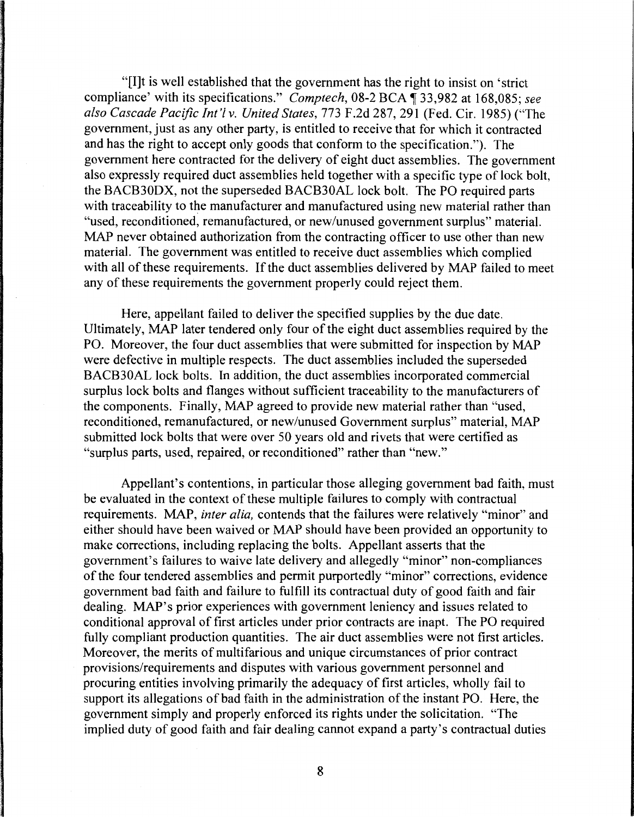"[I]t is well established that the government has the right to insist on 'strict compliance' with its specifications." *Comptech*, 08-2 BCA  $\overline{1}$  33,982 at 168,085; see *also Cascade Pacific Int'! v. United States,* 773 F.2d 287, 291 (Fed. Cir. 1985) ("The government, just as any other party, is entitled to receive that for which it contracted and has the right to accept only goods that conform to the specification."). The government here contracted for the delivery of eight duct assemblies. The government also expressly required duct assemblies held together with a specific type of lock bolt, the BACB30DX, not the superseded BACB30AL lock bolt. The PO required parts with traceability to the manufacturer and manufactured using new material rather than "used, reconditioned, remanufactured, or new/unused government surplus" material. MAP never obtained authorization from the contracting officer to use other than new material. The government was entitled to receive duct assemblies which complied with all of these requirements. If the duct assemblies delivered by MAP failed to meet any of these requirements the government properly could reject them.

Here, appellant failed to deliver the specified supplies by the due date. Ultimately, MAP later tendered only four of the eight duct assemblies required by the PO. Moreover, the four duct assemblies that were submitted for inspection by MAP were defective in multiple respects. The duct assemblies included the superseded BACB30AL lock bolts. In addition, the duct assemblies incorporated commercial surplus lock bolts and flanges without sufficient traceability to the manufacturers of the components. Finally, MAP agreed to provide new material rather than "used, reconditioned, remanufactured, or new/unused Government surplus" material, MAP submitted lock bolts that were over 50 years old and rivets that were certified as "surplus parts, used, repaired, or reconditioned" rather than "new."

Appellant's contentions, in particular those alleging government bad faith, must be evaluated in the context of these multiple failures to comply with contractual requirements. MAP, *inter alia,* contends that the failures were relatively "minor" and either should have been waived or MAP should have been provided an opportunity to make corrections, including replacing the bolts. Appellant asserts that the government's failures to waive late delivery and allegedly "minor" non-compliances of the four tendered assemblies and permit purportedly "minor" corrections, evidence government bad faith and failure to fulfill its contractual duty of good faith and fair dealing. MAP's prior experiences with government leniency and issues related to conditional approval of first articles under prior contracts are inapt. The PO required fully compliant production quantities. The air duct assemblies were not first articles. Moreover, the merits of multifarious and unique circumstances of prior contract provisions/requirements and disputes with various government personnel and procuring entities involving primarily the adequacy of first articles, wholly fail to support its allegations of bad faith in the administration of the instant PO. Here, the government simply and properly enforced its rights under the solicitation. "The implied duty of good faith and fair dealing cannot expand a party's contractual duties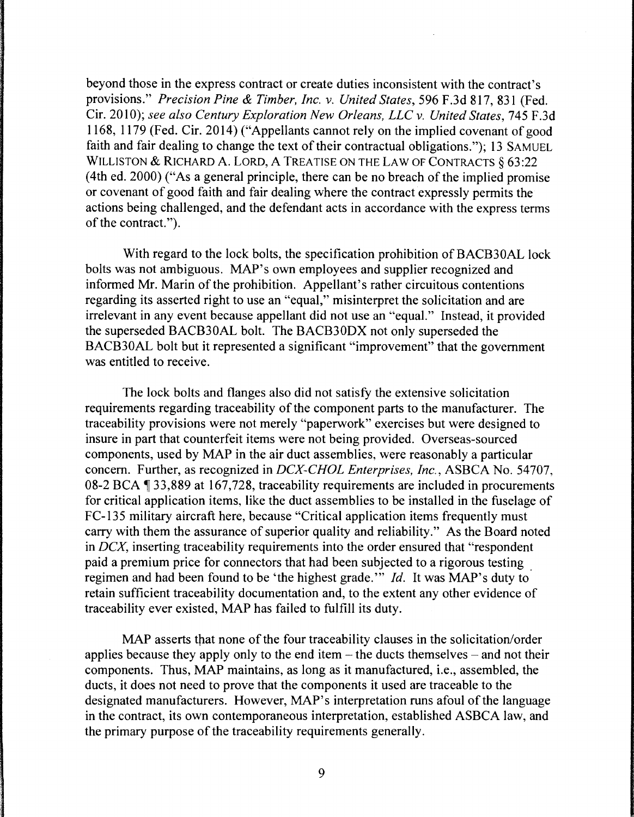beyond those in the express contract or create duties inconsistent with the contract's provisions." *Precision Pine* & *Timber, Inc. v. United States,* 596 F .3d 817, 831 (Fed. Cir. 2010); *see also Century Exploration New Orleans, LLC* v. *United States,* 745 F.3d 1168, 1179 (Fed. Cir. 2014) ("Appellants cannot rely on the implied covenant of good faith and fair dealing to change the text of their contractual obligations."); 13 SAMUEL WILLISTON & RICHARD A. LORD, A TREATISE ON THE LAW OF CONTRACTS § 63:22 (4th ed. 2000) ("As a general principle, there can be no breach of the implied promise or covenant of good faith and fair dealing where the contract expressly permits the actions being challenged, and the defendant acts in accordance with the express terms of the contract.").

With regard to the lock bolts, the specification prohibition of BACB30AL lock bolts was not ambiguous. MAP's own employees and supplier recognized and informed Mr. Marin of the prohibition. Appellant's rather circuitous contentions regarding its asserted right to use an "equal," misinterpret the solicitation and are irrelevant in any event because appellant did not use an "equal." Instead, it provided the superseded BACB30AL bolt. The BACB30DX not only superseded the BACB30AL bolt but it represented a significant "improvement" that the government was entitled to receive.

The lock bolts and flanges also did not satisfy the extensive solicitation requirements regarding traceability of the component parts to the manufacturer. The traceability provisions were not merely "paperwork" exercises but were designed to insure in part that counterfeit items were not being provided. Overseas-sourced components, used by MAP in the air duct assemblies, were reasonably a particular concern. Further, as recognized in *DCX-CHOL Enterprises, Inc.,* ASBCA No. 54707, 08-2 BCA ¶ 33,889 at 167,728, traceability requirements are included in procurements for critical application items, like the duct assemblies to be installed in the fuselage of FC-135 military aircraft here, because "Critical application items frequently must carry with them the assurance of superior quality and reliability." As the Board noted in *DCX,* inserting traceability requirements into the order ensured that "respondent paid a premium price for connectors that had been subjected to a rigorous testing . regimen and had been found to be 'the highest grade."' *Id.* It was MAP's duty to retain sufficient traceability documentation and, to the extent any other evidence of traceability ever existed, MAP has failed to fulfill its duty.

MAP asserts that none of the four traceability clauses in the solicitation/order applies because they apply only to the end item  $-$  the ducts themselves  $-$  and not their components. Thus, MAP maintains, as long as it manufactured, i.e., assembled, the ducts, it does not need to prove that the components it used are traceable to the designated manufacturers. However, MAP's interpretation runs afoul of the language in the contract, its own contemporaneous interpretation, established ASBCA law, and the primary purpose of the traceability requirements generally.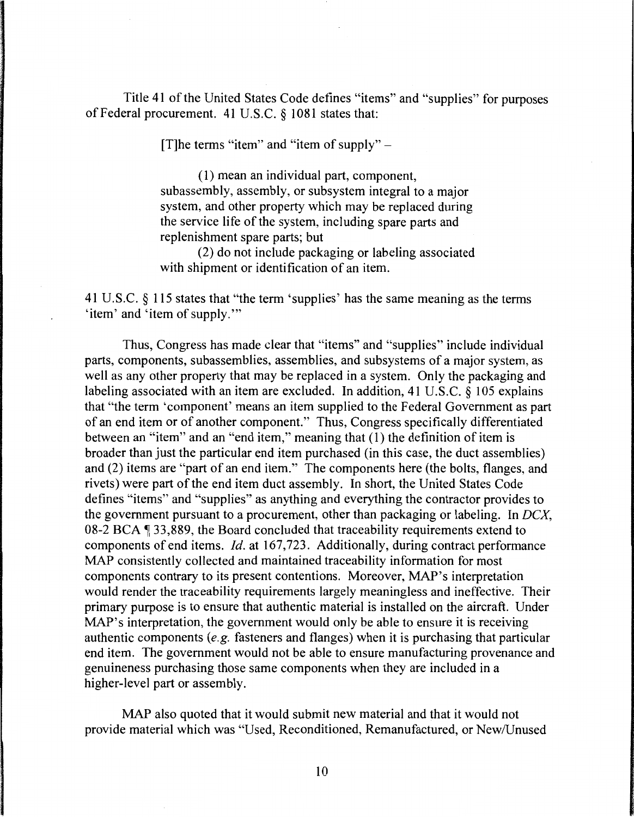Title 41 of the United States Code defines "items" and "supplies" for purposes of Federal procurement. 41 U.S.C. § 1081 states that:

[T] the terms "item" and "item of supply"  $-$ 

( 1) mean an individual part, component, subassembly, assembly, or subsystem integral to a major system, and other property which may be replaced during the service life of the system, including spare parts and replenishment spare parts; but

(2) do not include packaging or labeling associated with shipment or identification of an item.

41 U.S.C. § 115 states that "the term 'supplies' has the same meaning as the terms 'item' and 'item of supply."'

Thus, Congress has made clear that "items" and "supplies" include individual parts, components, subassemblies, assemblies, and subsystems of a major system, as well as any other property that may be replaced in a system. Only the packaging and labeling associated with an item are excluded. In addition, 41 U.S.C. § 105 explains that "the term 'component' means an item supplied to the Federal Government as part of an end item or of another component." Thus, Congress specifically differentiated between an "item" and an "end item," meaning that (1) the definition of item is broader than just the particular end item purchased (in this case, the duct assemblies) and (2) items are "part of an end item." The components here (the bolts, flanges, and rivets) were part of the end item duct assembly. In short, the United States Code defines "items" and "supplies" as anything and everything the contractor provides to the government pursuant to a procurement, other than packaging or labeling. In *DCX,*  08-2 BCA  $\P$  33,889, the Board concluded that traceability requirements extend to components of end items. *Id.* at 167,723. Additionally, during contract performance MAP consistently collected and maintained traceability information for most components contrary to its present contentions. Moreover, MAP's interpretation would render the traceability requirements largely meaningless and ineffective. Their primary purpose is to ensure that authentic material is installed on the aircraft. Under MAP's interpretation, the government would only be able to ensure it is receiving authentic components (e.g. fasteners and flanges) when it is purchasing that particular end item. The government would not be able to ensure manufacturing provenance and genuineness purchasing those same components when they are included in a higher-level part or assembly.

MAP also quoted that it would submit new material and that it would not provide material which was "Used, Reconditioned, Remanufactured, or New/Unused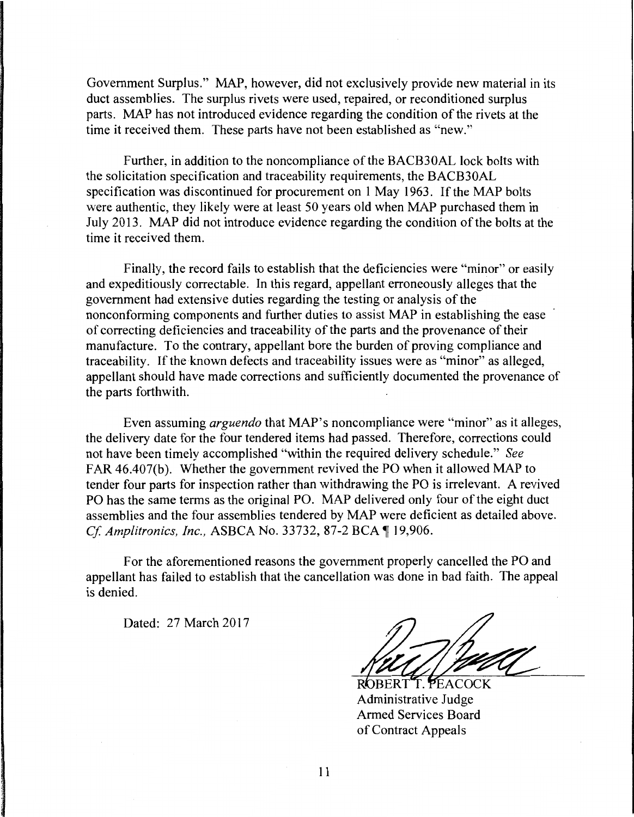Government Surplus." MAP, however, did not exclusively provide new material in its duct assemblies. The surplus rivets were used, repaired, or reconditioned surplus parts. MAP has not introduced evidence regarding the condition of the rivets at the time it received them. These parts have not been established as "new."

Further, in addition to the noncompliance of the BACB30AL lock bolts with the solicitation specification and traceability requirements, the BACB30AL specification was discontinued for procurement on 1 May 1963. If the MAP bolts were authentic, they likely were at least 50 years old when MAP purchased them in July 2013. MAP did not introduce evidence regarding the condition of the bolts at the time it received them.

Finally, the record fails to establish that the deficiencies were "minor" or easily and expeditiously correctable. In this regard, appellant erroneously alleges that the government had extensive duties regarding the testing or analysis of the nonconforming components and further duties to assist MAP in establishing the ease of correcting deficiencies and traceability of the parts and the provenance of their manufacture. To the contrary, appellant bore the burden of proving compliance and traceability. If the known defects and traceability issues were as "minor" as alleged, appellant should have made corrections and sufficiently documented the provenance of the parts forthwith.

Even assuming *arguendo* that MAP's noncompliance were "minor" as it alleges, the delivery date for the four tendered items had passed. Therefore, corrections could not have been timely accomplished "within the required delivery schedule." *See*  FAR 46.407(b). Whether the government revived the PO when it allowed MAP to tender four parts for inspection rather than withdrawing the PO is irrelevant. A revived PO has the same terms as the original PO. MAP delivered only four of the eight duct assemblies and the four assemblies tendered by MAP were deficient as detailed above. *Cf. Amplitronics, Inc., ASBCA No. 33732, 87-2 BCA* 19,906.

For the aforementioned reasons the government properly cancelled the PO and appellant has failed to establish that the cancellation was done in bad faith. The appeal is denied.

Dated: 27 March 2017

T. PEACOCK Administrative Judge Armed Services Board of Contract Appeals

11